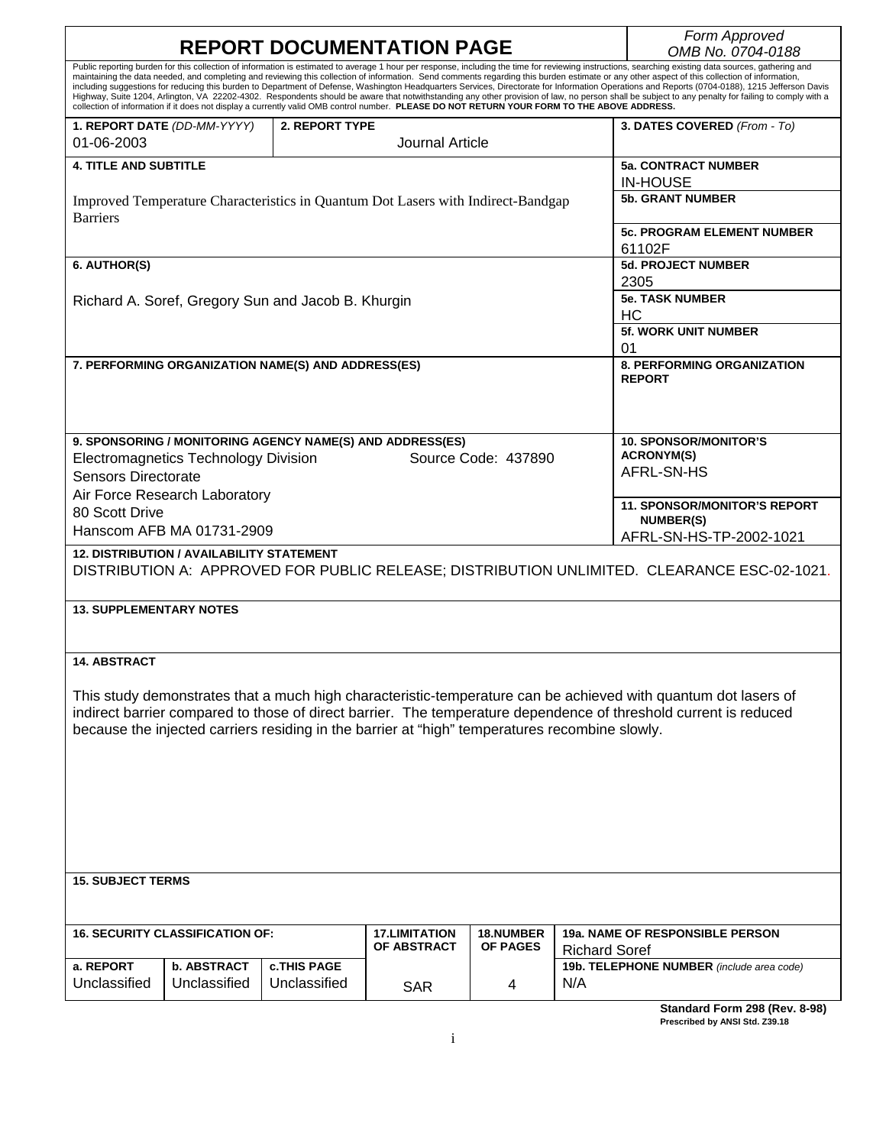|                                                                                                                                                                                                                                                                                                                                                                                                                                                                                                                                                                                                                                                                                                                                                                                                                                                                                                                                                                |                                                    | Form Approved                               |                                     |                                     |                                                                 |
|----------------------------------------------------------------------------------------------------------------------------------------------------------------------------------------------------------------------------------------------------------------------------------------------------------------------------------------------------------------------------------------------------------------------------------------------------------------------------------------------------------------------------------------------------------------------------------------------------------------------------------------------------------------------------------------------------------------------------------------------------------------------------------------------------------------------------------------------------------------------------------------------------------------------------------------------------------------|----------------------------------------------------|---------------------------------------------|-------------------------------------|-------------------------------------|-----------------------------------------------------------------|
|                                                                                                                                                                                                                                                                                                                                                                                                                                                                                                                                                                                                                                                                                                                                                                                                                                                                                                                                                                | <b>REPORT DOCUMENTATION PAGE</b>                   | OMB No. 0704-0188                           |                                     |                                     |                                                                 |
| Public reporting burden for this collection of information is estimated to average 1 hour per response, including the time for reviewing instructions, searching existing data sources, gathering and<br>maintaining the data needed, and completing and reviewing this collection of information. Send comments regarding this burden estimate or any other aspect of this collection of information,<br>including suggestions for reducing this burden to Department of Defense, Washington Headquarters Services, Directorate for Information Operations and Reports (0704-0188), 1215 Jefferson Davis<br>Highway, Suite 1204, Arlington, VA 22202-4302. Respondents should be aware that notwithstanding any other provision of law, no person shall be subject to any penalty for failing to comply with a<br>collection of information if it does not display a currently valid OMB control number. PLEASE DO NOT RETURN YOUR FORM TO THE ABOVE ADDRESS. |                                                    |                                             |                                     |                                     |                                                                 |
|                                                                                                                                                                                                                                                                                                                                                                                                                                                                                                                                                                                                                                                                                                                                                                                                                                                                                                                                                                | 1. REPORT DATE (DD-MM-YYYY)                        | 2. REPORT TYPE                              |                                     |                                     | 3. DATES COVERED (From - To)                                    |
| 01-06-2003                                                                                                                                                                                                                                                                                                                                                                                                                                                                                                                                                                                                                                                                                                                                                                                                                                                                                                                                                     |                                                    |                                             | Journal Article                     |                                     |                                                                 |
| <b>4. TITLE AND SUBTITLE</b>                                                                                                                                                                                                                                                                                                                                                                                                                                                                                                                                                                                                                                                                                                                                                                                                                                                                                                                                   |                                                    |                                             |                                     |                                     | <b>5a. CONTRACT NUMBER</b><br><b>IN-HOUSE</b>                   |
| Improved Temperature Characteristics in Quantum Dot Lasers with Indirect-Bandgap<br><b>Barriers</b>                                                                                                                                                                                                                                                                                                                                                                                                                                                                                                                                                                                                                                                                                                                                                                                                                                                            |                                                    |                                             |                                     |                                     | <b>5b. GRANT NUMBER</b>                                         |
|                                                                                                                                                                                                                                                                                                                                                                                                                                                                                                                                                                                                                                                                                                                                                                                                                                                                                                                                                                |                                                    | <b>5c. PROGRAM ELEMENT NUMBER</b><br>61102F |                                     |                                     |                                                                 |
| 6. AUTHOR(S)                                                                                                                                                                                                                                                                                                                                                                                                                                                                                                                                                                                                                                                                                                                                                                                                                                                                                                                                                   |                                                    |                                             |                                     |                                     | <b>5d. PROJECT NUMBER</b>                                       |
|                                                                                                                                                                                                                                                                                                                                                                                                                                                                                                                                                                                                                                                                                                                                                                                                                                                                                                                                                                |                                                    | 2305                                        |                                     |                                     |                                                                 |
|                                                                                                                                                                                                                                                                                                                                                                                                                                                                                                                                                                                                                                                                                                                                                                                                                                                                                                                                                                | Richard A. Soref, Gregory Sun and Jacob B. Khurgin | <b>5e. TASK NUMBER</b><br><b>HC</b>         |                                     |                                     |                                                                 |
|                                                                                                                                                                                                                                                                                                                                                                                                                                                                                                                                                                                                                                                                                                                                                                                                                                                                                                                                                                |                                                    | 5f. WORK UNIT NUMBER<br>01                  |                                     |                                     |                                                                 |
| 7. PERFORMING ORGANIZATION NAME(S) AND ADDRESS(ES)                                                                                                                                                                                                                                                                                                                                                                                                                                                                                                                                                                                                                                                                                                                                                                                                                                                                                                             |                                                    |                                             |                                     |                                     | <b>8. PERFORMING ORGANIZATION</b><br><b>REPORT</b>              |
| 9. SPONSORING / MONITORING AGENCY NAME(S) AND ADDRESS(ES)<br>Source Code: 437890<br><b>Electromagnetics Technology Division</b><br><b>Sensors Directorate</b>                                                                                                                                                                                                                                                                                                                                                                                                                                                                                                                                                                                                                                                                                                                                                                                                  |                                                    |                                             |                                     |                                     | <b>10. SPONSOR/MONITOR'S</b><br><b>ACRONYM(S)</b><br>AFRL-SN-HS |
| Air Force Research Laboratory                                                                                                                                                                                                                                                                                                                                                                                                                                                                                                                                                                                                                                                                                                                                                                                                                                                                                                                                  |                                                    |                                             |                                     |                                     |                                                                 |
| 80 Scott Drive                                                                                                                                                                                                                                                                                                                                                                                                                                                                                                                                                                                                                                                                                                                                                                                                                                                                                                                                                 |                                                    |                                             |                                     |                                     | <b>11. SPONSOR/MONITOR'S REPORT</b><br><b>NUMBER(S)</b>         |
| Hanscom AFB MA 01731-2909                                                                                                                                                                                                                                                                                                                                                                                                                                                                                                                                                                                                                                                                                                                                                                                                                                                                                                                                      |                                                    |                                             |                                     |                                     | AFRL-SN-HS-TP-2002-1021                                         |
| <b>12. DISTRIBUTION / AVAILABILITY STATEMENT</b><br>DISTRIBUTION A: APPROVED FOR PUBLIC RELEASE; DISTRIBUTION UNLIMITED. CLEARANCE ESC-02-1021.<br><b>13. SUPPLEMENTARY NOTES</b>                                                                                                                                                                                                                                                                                                                                                                                                                                                                                                                                                                                                                                                                                                                                                                              |                                                    |                                             |                                     |                                     |                                                                 |
| <b>14. ABSTRACT</b><br>This study demonstrates that a much high characteristic-temperature can be achieved with quantum dot lasers of<br>indirect barrier compared to those of direct barrier. The temperature dependence of threshold current is reduced<br>because the injected carriers residing in the barrier at "high" temperatures recombine slowly.                                                                                                                                                                                                                                                                                                                                                                                                                                                                                                                                                                                                    |                                                    |                                             |                                     |                                     |                                                                 |
| <b>15. SUBJECT TERMS</b>                                                                                                                                                                                                                                                                                                                                                                                                                                                                                                                                                                                                                                                                                                                                                                                                                                                                                                                                       |                                                    |                                             |                                     |                                     |                                                                 |
|                                                                                                                                                                                                                                                                                                                                                                                                                                                                                                                                                                                                                                                                                                                                                                                                                                                                                                                                                                | <b>16. SECURITY CLASSIFICATION OF:</b>             |                                             | <b>17.LIMITATION</b><br>OF ABSTRACT | <b>18.NUMBER</b><br><b>OF PAGES</b> | 19a. NAME OF RESPONSIBLE PERSON<br><b>Richard Soref</b>         |
| a. REPORT                                                                                                                                                                                                                                                                                                                                                                                                                                                                                                                                                                                                                                                                                                                                                                                                                                                                                                                                                      | b. ABSTRACT                                        | <b>c.THIS PAGE</b>                          |                                     |                                     | 19b. TELEPHONE NUMBER (include area code)                       |
| Unclassified                                                                                                                                                                                                                                                                                                                                                                                                                                                                                                                                                                                                                                                                                                                                                                                                                                                                                                                                                   | Unclassified                                       | Unclassified                                | <b>SAR</b>                          | 4                                   | N/A                                                             |
|                                                                                                                                                                                                                                                                                                                                                                                                                                                                                                                                                                                                                                                                                                                                                                                                                                                                                                                                                                |                                                    |                                             |                                     |                                     | Standard Form 298 (Rev. 8-98)                                   |

**Prescribed by ANSI Std. Z39.18**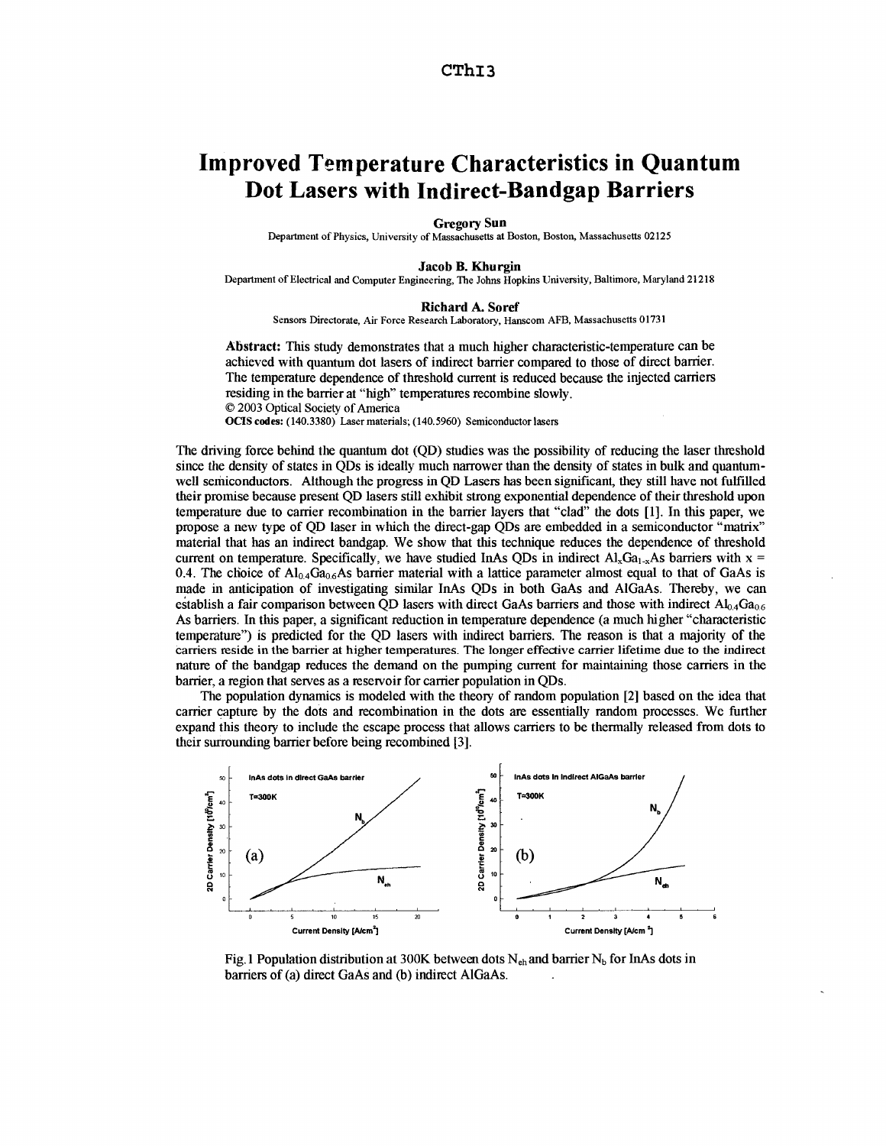# <span id="page-1-0"></span>**Improved Temperature Characteristics in Quantum Dot Lasers with Indirect-Bandgap Barriers**

## **Gregory Sun**

Department *of* Physics, University of Massachusetts at Boston, Boston, Massachusetts **02125** 

#### **Jacob B. Khurgin**

Department of Electrical and Computer Engineering, The Johns Hopkins University, Baltimore, Maryland **21218** 

#### **Richard A. Soref**

Sensors Directorate, Air Force Research Laboratory, Hanscom AFB, Massachusetts 0 **1731** 

**Ahtract: This** study demonstrates that a much higher **characteristic-tempemture** can be achieved with quantum dot lasers of indirect barrier compared to those of direct barrier. The temperature dependence of threshold current is reduced because the injected carriers residing in the barrier at "high" temperatures recombine slowly. *0* 2003 Optical Society of America **OCIS codes: (140.3380)** Laser materials; **(140.5960)** Semiconductor lasers

The driving force behind the quantum dot (QD) studies was the possibility of reducing the laser threshold since the density of states in QDs is ideally much narrower than the density of states in bulk and quantumwell semiconductors. Although the progress in QD Lasers has been significant, they still have not fulfilled their promise because present QD lasers still exhibit strong exponential dependence of their threshold upon temperature due to carrier recombination in the barrier layers that "clad" the dots [1]. In this paper, we propose a new type of QD laser in which the direct-gap QDs **are** embedded in a semiconductor "matrix" material that has an indirect bandgap. We show that **this** technique reduces the dependence of threshold current on temperature. Specifically, we have studied InAs ODs in indirect  $Al_xGa_{1-x}As$  barriers with  $x =$ 0.4. The choice of  $Al_{0.4}Ga_{0.6}As$  barrier material with a lattice parameter almost equal to that of GaAs is made in anticipation of investigating similar **InAs** QDs in both GaAs and AlGaAs. Thereby, we can establish a fair comparison between OD lasers with direct GaAs barriers and those with indirect  $A\text{log}G\text{log}$ As barriers. In this paper, a significant reduction in temperature dependence (a much higher "characteristic temperature") is predicted for the QD lasers with indirect barriers. The reason is that a majority of the carriers reside in the barrier at higher temperatures. The longer effective carrier lifetime due to the indirect nature of the bandgap reduces the demand on the pumping current for maintaining those carriers in the barrier, a region that serves as a reservoir for carrier population in QDs.

The population dynamics is modeled with the theory of random population [2] based on the idea that carrier capture by the dots and recombination in the dots **are** essentially random processes. We further expand this theory to include the escape process that allows carriers to be thermally released from dots to their surrounding barrier before being recombined [3].



Fig. 1 Population distribution at 300K between dots  $N_{eh}$  and barrier  $N_b$  for InAs dots in barriers of (a) direct GaAs and (b) indirect AlGaAs.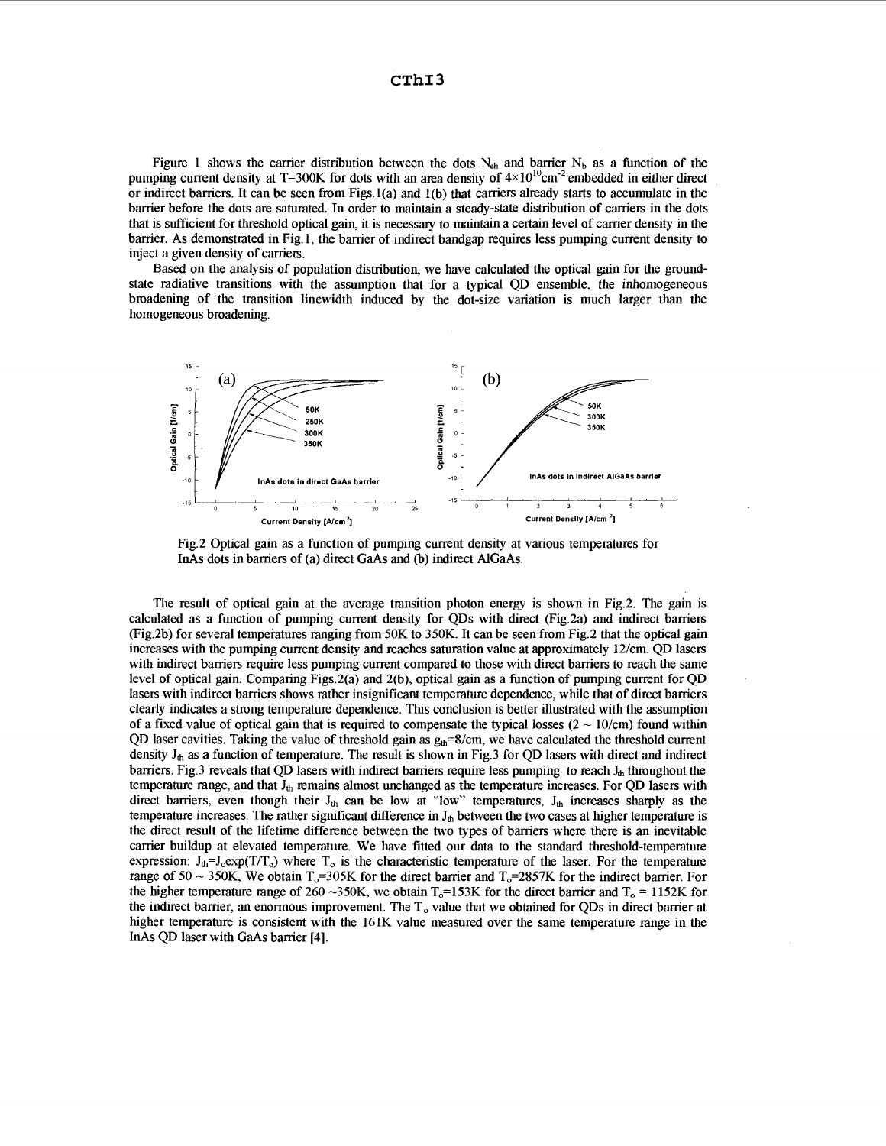**CThI3** 

[Figure 1](#page-1-0) shows the carrier distribution between the dots  $N_{eh}$  and barrier  $N_b$  as a function of the pumping current density at T=300K for dots with an area density of  $4\times10^{10}$ cm<sup>-2</sup> embedded in either direct or indirect barriers. It can be seen from Figs.l(a) and l(b) that carriers already starts to accumulate in the barrier before the dots are saturated. In order to maintain a steady-state distribution of carriers in the dots that is sufficient for threshold optical gain, it is necessary to maintain a certain level of carrier density in the barrier. As demonstrated in Fig. 1, the barrier of indirect bandgap requires less pumping current density to inject a given density of carriers.

Based on the analysis of population distribution, we have calculated the optical gain for the groundstate radiative transitions with the assumption that for a typical QD ensemble, the inhomogeneous broadening of the transition linewidth induced by the dot-size variation is much larger than the homogeneous broadening.



Fig.2 Optical gain as a function of pumping current density at various temperatures for InAs dots in barriers of (a) direct GaAs and (b) indirect AlGaAs.

The result of optical gain at the average transition photon energy is shown in Fig.2. The gain is calculated as a function of pumping current density for QDs with direct (Fig.2a) and indirect barriers (Fig.2b) for several tempeiatures ranging from 50K to 350K. It can be seen from Fig.2 that the optical gain increases with the pumping current density and reaches saturation value at approximately 12/cm. QD lasers with indirect barriers require less pumping current compared to those with direct barriers to reach the same level of optical gain. Comparing Figs.2(a) and 2(b), optical gain as a function of pumping current for QD lasers with indirect barriers shows rather insignificant temperature dependence, while that of direct barriers clearly indicates a strong temperature dependence. This conclusion is better illustrated with the assumption of a fixed value of optical gain that is required to compensate the typical losses  $(2 \sim 10/\text{cm})$  found within QD laser cavities. Taking the value of threshold gain as  $g_{th}$ =8/cm, we have calculated the threshold current density  $J_{th}$  as a function of temperature. The result is shown in Fig.3 for QD lasers with direct and indirect barriers. Fig.3 reveals that QD lasers with indirect barriers require less pumping to reach  $J<sub>th</sub>$  throughout the temperature range, and that  $J_{th}$  remains almost unchanged as the temperature increases. For QD lasers with direct barriers, even though their  $J_{th}$  can be low at "low" temperatures,  $J_{th}$  increases sharply as the temperature increases. The rather significant difference in  $J_{th}$  between the two cases at higher temperature is the direct result of the lifetime difference between the two types of barriers where there is an inevitable carrier buildup at elevated temperature. We have fitted our data to the standard threshold-temperature expression:  $J_{th}=J_0 \exp(T/T_0)$  where  $T_0$  is the characteristic temperature of the laser. For the temperature range of  $50 \sim 350$ K, We obtain T<sub>o</sub>=305K for the direct barrier and T<sub>o</sub>=2857K for the indirect barrier. For the higher temperature range of 260 ~350K, we obtain  $T_0$ =153K for the direct barrier and  $T_0$  = 1152K for the indirect barrier, an enormous improvement. The T<sub>o</sub> value that we obtained for QDs in direct barrier at higher temperature is consistent with the 161K value measured over the same temperature range in the InAs QD laser with GaAs barrier **[4].**